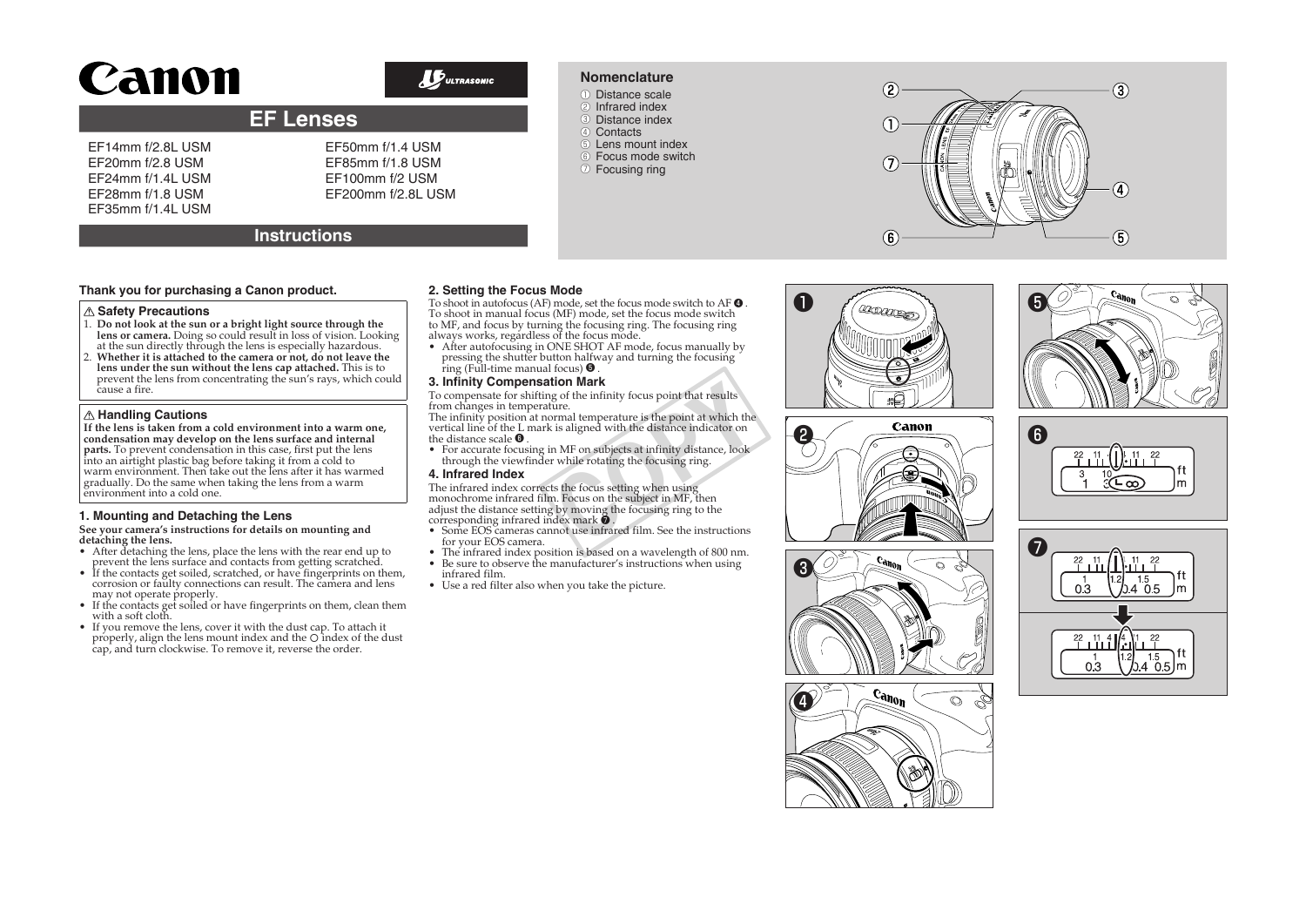# Canon

# $\n *D*\n *UITRASONIC*\n$

# **EF Lenses**

# EF14mm f/2.8L USM EF20mm f/2.8 USM EF24mm f/1.4L USM EF28mm f/1.8 USM EF35mm f/1.4L USM

EF50mm f/1.4 USM EF85mm f/1.8 USM EF100mm f/2 USM EF200mm f/2.8L USM

# **Instructions**

## **Thank you for purchasing a Canon product.**

#### **Safety Precautions**

- 1. **Do not look at the sun or a bright light source through the lens or camera.** Doing so could result in loss of vision. Looking at the sun directly through the lens is especially hazardous.
- 2. **Whether it is attached to the camera or not, do not leave the lens under the sun without the lens cap attached.** This is to prevent the lens from concentrating the sun's rays, which could cause a fire.

### **Handling Cautions**

**If the lens is taken from a cold environment into a warm one, condensation may develop on the lens surface and internal parts.** To prevent condensation in this case, first put the lens into an airtight plastic bag before taking it from a cold to warm envirōnment. Then take out the lens after it has warmed<br>gradually. Do the same when taking the lens from a warm environment into a cold one.

# **1. Mounting and Detaching the Lens**

**See your camera's instructions for details on mounting and detaching the lens.**

- 
- After detaching the lens, place the lens with the rear end up to<br>prevent the lens surface and contacts from getting scratched.<br>• If the contacts get soiled, scratched, or have fingerprints on them,<br>corrosion or faulty co
- If the contacts get soiled or have fingerprints on them, clean them<br>with a soft cloth.<br>If you remove the lens, cover it with the dust cap. To attach it
- properly, align the lens mount index and the O index of the dust cap, and turn clockwise. To remove it, reverse the order.

# **2. Setting the Focus Mode**

To shoot in autofocus (AF) mode, set the focus mode switch to AF ❹ . To shoot in manual focus (MF) mode, set the focus mode switch to MF, and focus by turning the focusing ring. The focusing ring always works, regardless of the focus mode.

- 
- After autofocusing in ONE SHOT AF mode, focus manually by pressing the shutter button halfway and turning the focusing ring (Full-time manual focus)  $\boldsymbol{\Theta}$  .

#### **3. Infinity Compensation Mark**

To compensate for shifting of the infinity focus point that results from changes in temperature.

The infinity position at normal temperature is the point at which the vertical line of the L mark is aligned with the distance indicator on the distance scale **O** 

the distance scale  $\bullet$ .<br>• For accurate focusing in MF on subjects at infinity distance, look<br>• through the viewfinder while rotating the focusing ring.

# **4. Infrared Index**

The infrared index corrects the focus setting when using monochrome infrared film. Focus on the subject in MF, then adjust the distance setting by moving the focusing ring to the corresponding infrared index mark  $\bullet$  . **tion Mark**<br>go of the infinity focus point that results<br>ture.<br>ture.<br>star exist aligned with the distance indicator on<br>in MF on subjects at infinity distance, look<br>r while rotating the focusing ring.<br>ts the focus setting w

- Some EOS cameras cannot use infrared film. See the instructions for your EOS camera.
- The infrared index position is based on a wavelength of 800 nm. • Be sure to observe the manufacturer's instructions when using
- infrared film.
- Use a red filter also when you take the picture.















② Infrared index **3** Distance index 4 Contacts

- 
- ●⑤ Lens mount index ●⑥ Focus mode switch

**Nomenclature** ●① Distance scale

●⑦ Focusing ring